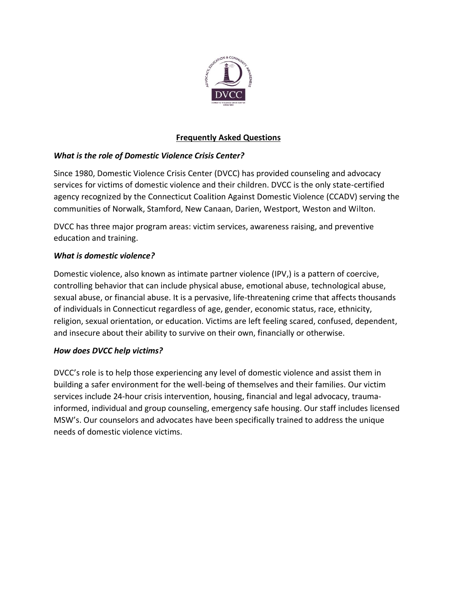

# **Frequently Asked Questions**

## *What is the role of Domestic Violence Crisis Center?*

Since 1980, Domestic Violence Crisis Center (DVCC) has provided counseling and advocacy services for victims of domestic violence and their children. DVCC is the only state-certified agency recognized by the Connecticut Coalition Against Domestic Violence (CCADV) serving the communities of Norwalk, Stamford, New Canaan, Darien, Westport, Weston and Wilton.

DVCC has three major program areas: victim services, awareness raising, and preventive education and training.

## *What is domestic violence?*

Domestic violence, also known as intimate partner violence (IPV,) is a pattern of coercive, controlling behavior that can include physical abuse, emotional abuse, technological abuse, sexual abuse, or financial abuse. It is a pervasive, life-threatening crime that affects thousands of individuals in Connecticut regardless of age, gender, economic status, race, ethnicity, religion, sexual orientation, or education. Victims are left feeling scared, confused, dependent, and insecure about their ability to survive on their own, financially or otherwise.

## *How does DVCC help victims?*

DVCC's role is to help those experiencing any level of domestic violence and assist them in building a safer environment for the well-being of themselves and their families. Our victim services include 24-hour crisis intervention, housing, financial and legal advocacy, traumainformed, individual and group counseling, emergency safe housing. Our staff includes licensed MSW's. Our counselors and advocates have been specifically trained to address the unique needs of domestic violence victims.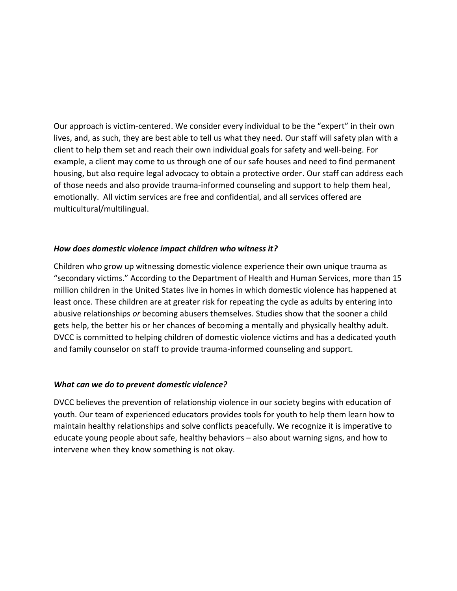Our approach is victim-centered. We consider every individual to be the "expert" in their own lives, and, as such, they are best able to tell us what they need. Our staff will safety plan with a client to help them set and reach their own individual goals for safety and well-being. For example, a client may come to us through one of our safe houses and need to find permanent housing, but also require legal advocacy to obtain a protective order. Our staff can address each of those needs and also provide trauma-informed counseling and support to help them heal, emotionally. All victim services are free and confidential, and all services offered are multicultural/multilingual.

### *How does domestic violence impact children who witness it?*

Children who grow up witnessing domestic violence experience their own unique trauma as "secondary victims." According to the Department of Health and Human Services, more than 15 million children in the United States live in homes in which domestic violence has happened at least once. These children are at greater risk for repeating the cycle as adults by entering into abusive relationships *or* becoming abusers themselves. Studies show that the sooner a child gets help, the better his or her chances of becoming a mentally and physically healthy adult. DVCC is committed to helping children of domestic violence victims and has a dedicated youth and family counselor on staff to provide trauma-informed counseling and support.

### *What can we do to prevent domestic violence?*

DVCC believes the prevention of relationship violence in our society begins with education of youth. Our team of experienced educators provides tools for youth to help them learn how to maintain healthy relationships and solve conflicts peacefully. We recognize it is imperative to educate young people about safe, healthy behaviors – also about warning signs, and how to intervene when they know something is not okay.